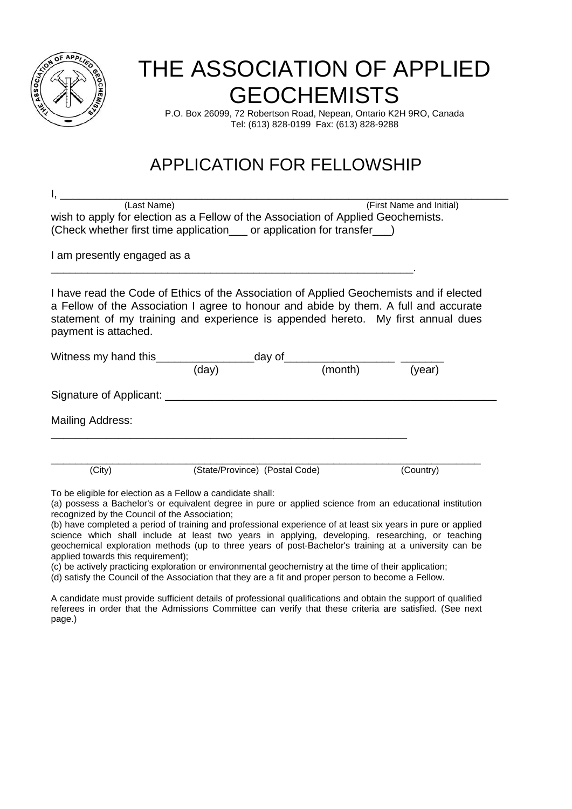

# THE ASSOCIATION OF APPLIED **GEOCHEMISTS**

P.O. Box 26099, 72 Robertson Road, Nepean, Ontario K2H 9RO, Canada Tel: (613) 828-0199 Fax: (613) 828-9288

## APPLICATION FOR FELLOWSHIP

I, \_\_\_\_\_\_\_\_\_\_\_\_\_\_\_\_\_\_\_\_\_\_\_\_\_\_\_\_\_\_\_\_\_\_\_\_\_\_\_\_\_\_\_\_\_\_\_\_\_\_\_\_\_\_\_\_\_\_\_\_\_\_\_\_\_\_\_\_\_\_\_\_\_ (Last Name) (First Name and Initial) wish to apply for election as a Fellow of the Association of Applied Geochemists. (Check whether first time application\_\_\_ or application for transfer\_\_\_)

\_\_\_\_\_\_\_\_\_\_\_\_\_\_\_\_\_\_\_\_\_\_\_\_\_\_\_\_\_\_\_\_\_\_\_\_\_\_\_\_\_\_\_\_\_\_\_\_\_\_\_\_\_\_\_\_\_\_\_.

I am presently engaged as a

I have read the Code of Ethics of the Association of Applied Geochemists and if elected a Fellow of the Association I agree to honour and abide by them. A full and accurate statement of my training and experience is appended hereto. My first annual dues payment is attached.

| Witness my hand this                                                                                                                                                   | day of                         |         |           |  |
|------------------------------------------------------------------------------------------------------------------------------------------------------------------------|--------------------------------|---------|-----------|--|
|                                                                                                                                                                        | (day)                          | (month) | (year)    |  |
| Signature of Applicant:                                                                                                                                                |                                |         |           |  |
| <b>Mailing Address:</b>                                                                                                                                                |                                |         |           |  |
| (City)                                                                                                                                                                 | (State/Province) (Postal Code) |         | (Country) |  |
| To be eligible for election as a Fellow a candidate shall:<br>(a) perceps a Pachelar's experimented degree in pure or applied eclippes from an educational institution |                                |         |           |  |

(a) possess a Bachelor's or equivalent degree in pure or applied science from an educational institution recognized by the Council of the Association;

(b) have completed a period of training and professional experience of at least six years in pure or applied science which shall include at least two years in applying, developing, researching, or teaching geochemical exploration methods (up to three years of post-Bachelor's training at a university can be applied towards this requirement);

(c) be actively practicing exploration or environmental geochemistry at the time of their application;

(d) satisfy the Council of the Association that they are a fit and proper person to become a Fellow.

A candidate must provide sufficient details of professional qualifications and obtain the support of qualified referees in order that the Admissions Committee can verify that these criteria are satisfied. (See next page.)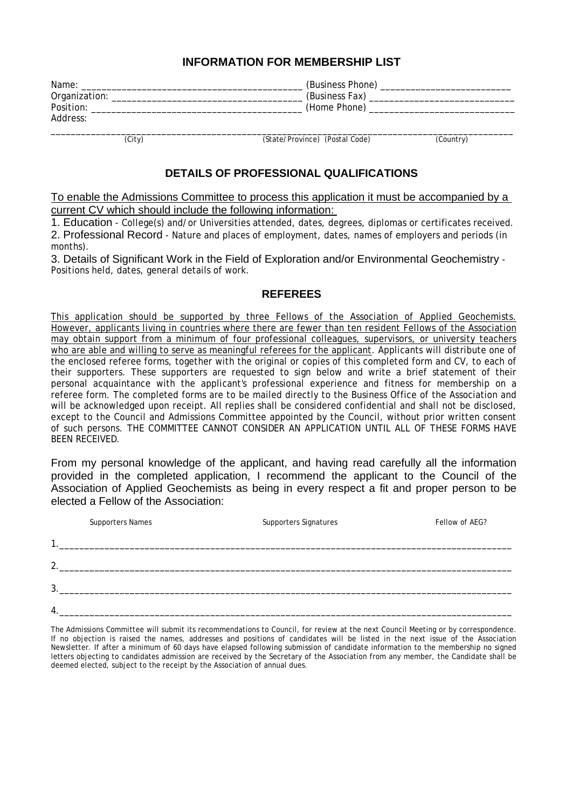#### **INFORMATION FOR MEMBERSHIP LIST**

| Name:         | (Business Phone) |
|---------------|------------------|
| Organization: | (Business Fax)   |
| Position:     | (Home Phone)     |
| Address:      |                  |

\_\_\_\_\_\_\_\_\_\_\_\_\_\_\_\_\_\_\_\_\_\_\_\_\_\_\_\_\_\_\_\_\_\_\_\_\_\_\_\_\_\_\_\_\_\_\_\_\_\_\_\_\_\_\_\_\_\_\_\_\_\_\_\_\_\_\_\_\_\_\_\_\_\_\_\_\_\_\_\_\_\_\_\_\_\_\_\_\_\_\_\_ (City) (State/Province) (Postal Code) (Country)

#### **DETAILS OF PROFESSIONAL QUALIFICATIONS**

To enable the Admissions Committee to process this application it must be accompanied by a current CV which should include the following information:

1. Education - College(s) and/or Universities attended, dates, degrees, diplomas or certificates received.

2. Professional Record - Nature and places of employment, dates, names of employers and periods (in months).

3. Details of Significant Work in the Field of Exploration and/or Environmental Geochemistry - Positions held, dates, general details of work.

#### **REFEREES**

This application should be supported by three Fellows of the Association of Applied Geochemists. However, applicants living in countries where there are fewer than ten resident Fellows of the Association may obtain support from a minimum of four professional colleagues, supervisors, or university teachers who are able and willing to serve as meaningful referees for the applicant. Applicants will distribute one of the enclosed referee forms, together with the original or copies of this completed form and CV, to each of their supporters. These supporters are requested to sign below and write a brief statement of their personal acquaintance with the applicant's professional experience and fitness for membership on a referee form. The completed forms are to be mailed directly to the Business Office of the Association and will be acknowledged upon receipt. All replies shall be considered confidential and shall not be disclosed, except to the Council and Admissions Committee appointed by the Council, without prior written consent of such persons. THE COMMITTEE CANNOT CONSIDER AN APPLICATION UNTIL ALL OF THESE FORMS HAVE BEEN RECEIVED.

From my personal knowledge of the applicant, and having read carefully all the information provided in the completed application, I recommend the applicant to the Council of the Association of Applied Geochemists as being in every respect a fit and proper person to be elected a Fellow of the Association:

|    | <b>Supporters Names</b> | Supporters Signatures | Fellow of AEG? |
|----|-------------------------|-----------------------|----------------|
| 1  |                         |                       |                |
| ົາ |                         |                       |                |
| 3  |                         |                       |                |
| 4  |                         |                       |                |

The Admissions Committee will submit its recommendations to Council, for review at the next Council Meeting or by correspondence. If no objection is raised the names, addresses and positions of candidates will be listed in the next issue of the Association Newsletter. If after a minimum of 60 days have elapsed following submission of candidate information to the membership no signed letters objecting to candidates admission are received by the Secretary of the Association from any member, the Candidate shall be deemed elected, subject to the receipt by the Association of annual dues.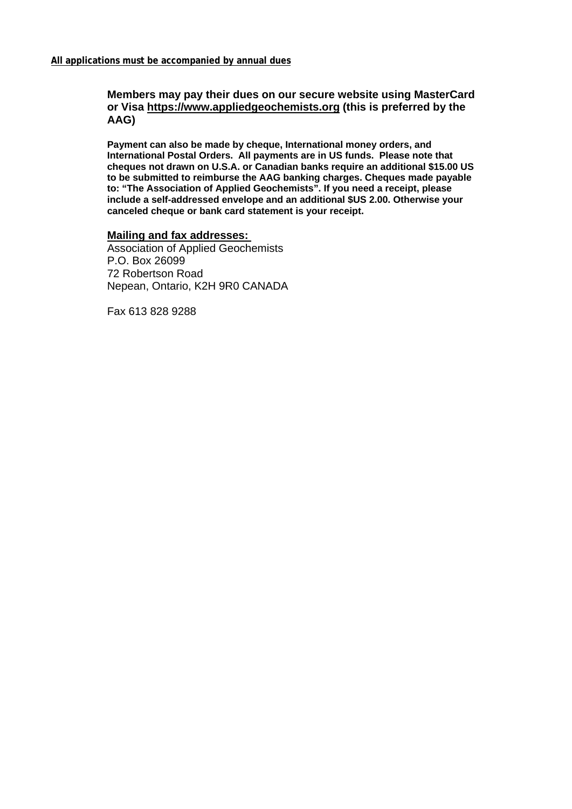#### **Members may pay their dues on our secure website using MasterCard or Visa https://www.appliedgeochemists.org (this is preferred by the AAG)**

**Payment can also be made by cheque, International money orders, and International Postal Orders. All payments are in US funds. Please note that cheques not drawn on U.S.A. or Canadian banks require an additional \$15.00 US to be submitted to reimburse the AAG banking charges. Cheques made payable to: "The Association of Applied Geochemists". If you need a receipt, please include a self-addressed envelope and an additional \$US 2.00. Otherwise your canceled cheque or bank card statement is your receipt.**

#### **Mailing and fax addresses:**

Association of Applied Geochemists P.O. Box 26099 72 Robertson Road Nepean, Ontario, K2H 9R0 CANADA

Fax 613 828 9288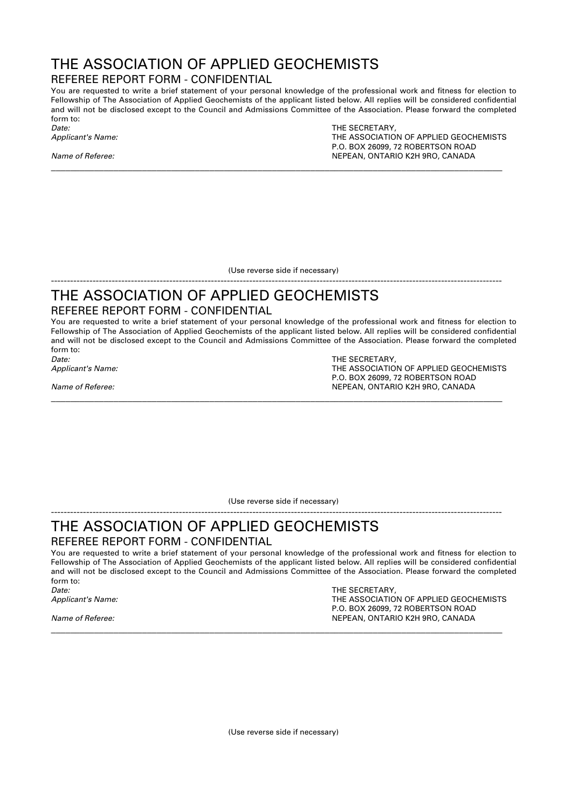## THE ASSOCIATION OF APPLIED GEOCHEMISTS

#### REFEREE REPORT FORM - CONFIDENTIAL

You are requested to write a brief statement of your personal knowledge of the professional work and fitness for election to Fellowship of The Association of Applied Geochemists of the applicant listed below. All replies will be considered confidential and will not be disclosed except to the Council and Admissions Committee of the Association. Please forward the completed form to:

**\_\_\_\_\_\_\_\_\_\_\_\_\_\_\_\_\_\_\_\_\_\_\_\_\_\_\_\_\_\_\_\_\_\_\_\_\_\_\_\_\_\_\_\_\_\_\_\_\_\_\_\_\_\_\_\_\_\_\_\_\_\_\_\_\_\_\_\_\_\_\_\_\_\_\_\_\_\_\_\_\_\_\_\_\_\_\_\_\_\_\_\_\_\_**

THE SECRETARY, *Applicant's Name:* THE ASSOCIATION OF APPLIED GEOCHEMISTS P.O. BOX 26099, 72 ROBERTSON ROAD *Name of Referee:* NEPEAN, ONTARIO K2H 9RO, CANADA

(Use reverse side if necessary)

#### --------------------------------------------------------------------------------------------------------------------------------------------- THE ASSOCIATION OF APPLIED GEOCHEMISTS

#### REFEREE REPORT FORM - CONFIDENTIAL

You are requested to write a brief statement of your personal knowledge of the professional work and fitness for election to Fellowship of The Association of Applied Geochemists of the applicant listed below. All replies will be considered confidential and will not be disclosed except to the Council and Admissions Committee of the Association. Please forward the completed form to:

**\_\_\_\_\_\_\_\_\_\_\_\_\_\_\_\_\_\_\_\_\_\_\_\_\_\_\_\_\_\_\_\_\_\_\_\_\_\_\_\_\_\_\_\_\_\_\_\_\_\_\_\_\_\_\_\_\_\_\_\_\_\_\_\_\_\_\_\_\_\_\_\_\_\_\_\_\_\_\_\_\_\_\_\_\_\_\_\_\_\_\_\_\_\_**

*Date:* THE SECRETARY,

*Applicant's Name:* THE ASSOCIATION OF APPLIED GEOCHEMISTS P.O. BOX 26099, 72 ROBERTSON ROAD *Name of Referee:* NEPEAN, ONTARIO K2H 9RO, CANADA

(Use reverse side if necessary)

#### --------------------------------------------------------------------------------------------------------------------------------------------- THE ASSOCIATION OF APPLIED GEOCHEMISTS REFEREE REPORT FORM - CONFIDENTIAL

You are requested to write a brief statement of your personal knowledge of the professional work and fitness for election to Fellowship of The Association of Applied Geochemists of the applicant listed below. All replies will be considered confidential and will not be disclosed except to the Council and Admissions Committee of the Association. Please forward the completed form to:

**\_\_\_\_\_\_\_\_\_\_\_\_\_\_\_\_\_\_\_\_\_\_\_\_\_\_\_\_\_\_\_\_\_\_\_\_\_\_\_\_\_\_\_\_\_\_\_\_\_\_\_\_\_\_\_\_\_\_\_\_\_\_\_\_\_\_\_\_\_\_\_\_\_\_\_\_\_\_\_\_\_\_\_\_\_\_\_\_\_\_\_\_\_\_**

*Date:* THE SECRETARY,

*Applicant's Name:* THE ASSOCIATION OF APPLIED GEOCHEMISTS P.O. BOX 26099, 72 ROBERTSON ROAD *Name of Referee:* NEPEAN, ONTARIO K2H 9RO, CANADA

(Use reverse side if necessary)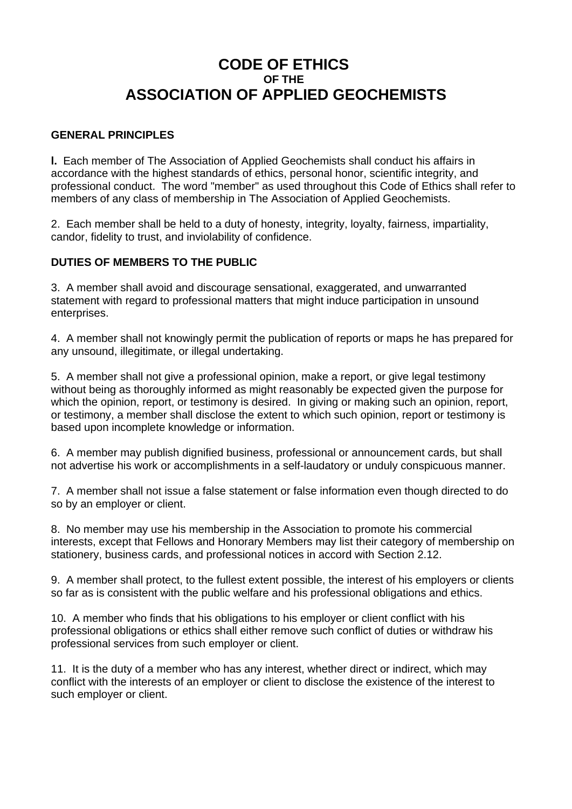### **CODE OF ETHICS OF THE ASSOCIATION OF APPLIED GEOCHEMISTS**

#### **GENERAL PRINCIPLES**

**l.** Each member of The Association of Applied Geochemists shall conduct his affairs in accordance with the highest standards of ethics, personal honor, scientific integrity, and professional conduct. The word "member" as used throughout this Code of Ethics shall refer to members of any class of membership in The Association of Applied Geochemists.

2. Each member shall be held to a duty of honesty, integrity, loyalty, fairness, impartiality, candor, fidelity to trust, and inviolability of confidence.

#### **DUTIES OF MEMBERS TO THE PUBLIC**

3. A member shall avoid and discourage sensational, exaggerated, and unwarranted statement with regard to professional matters that might induce participation in unsound enterprises.

4. A member shall not knowingly permit the publication of reports or maps he has prepared for any unsound, illegitimate, or illegal undertaking.

5. A member shall not give a professional opinion, make a report, or give legal testimony without being as thoroughly informed as might reasonably be expected given the purpose for which the opinion, report, or testimony is desired. In giving or making such an opinion, report, or testimony, a member shall disclose the extent to which such opinion, report or testimony is based upon incomplete knowledge or information.

6. A member may publish dignified business, professional or announcement cards, but shall not advertise his work or accomplishments in a self-laudatory or unduly conspicuous manner.

7. A member shall not issue a false statement or false information even though directed to do so by an employer or client.

8. No member may use his membership in the Association to promote his commercial interests, except that Fellows and Honorary Members may list their category of membership on stationery, business cards, and professional notices in accord with Section 2.12.

9. A member shall protect, to the fullest extent possible, the interest of his employers or clients so far as is consistent with the public welfare and his professional obligations and ethics.

10. A member who finds that his obligations to his employer or client conflict with his professional obligations or ethics shall either remove such conflict of duties or withdraw his professional services from such employer or client.

11. It is the duty of a member who has any interest, whether direct or indirect, which may conflict with the interests of an employer or client to disclose the existence of the interest to such employer or client.